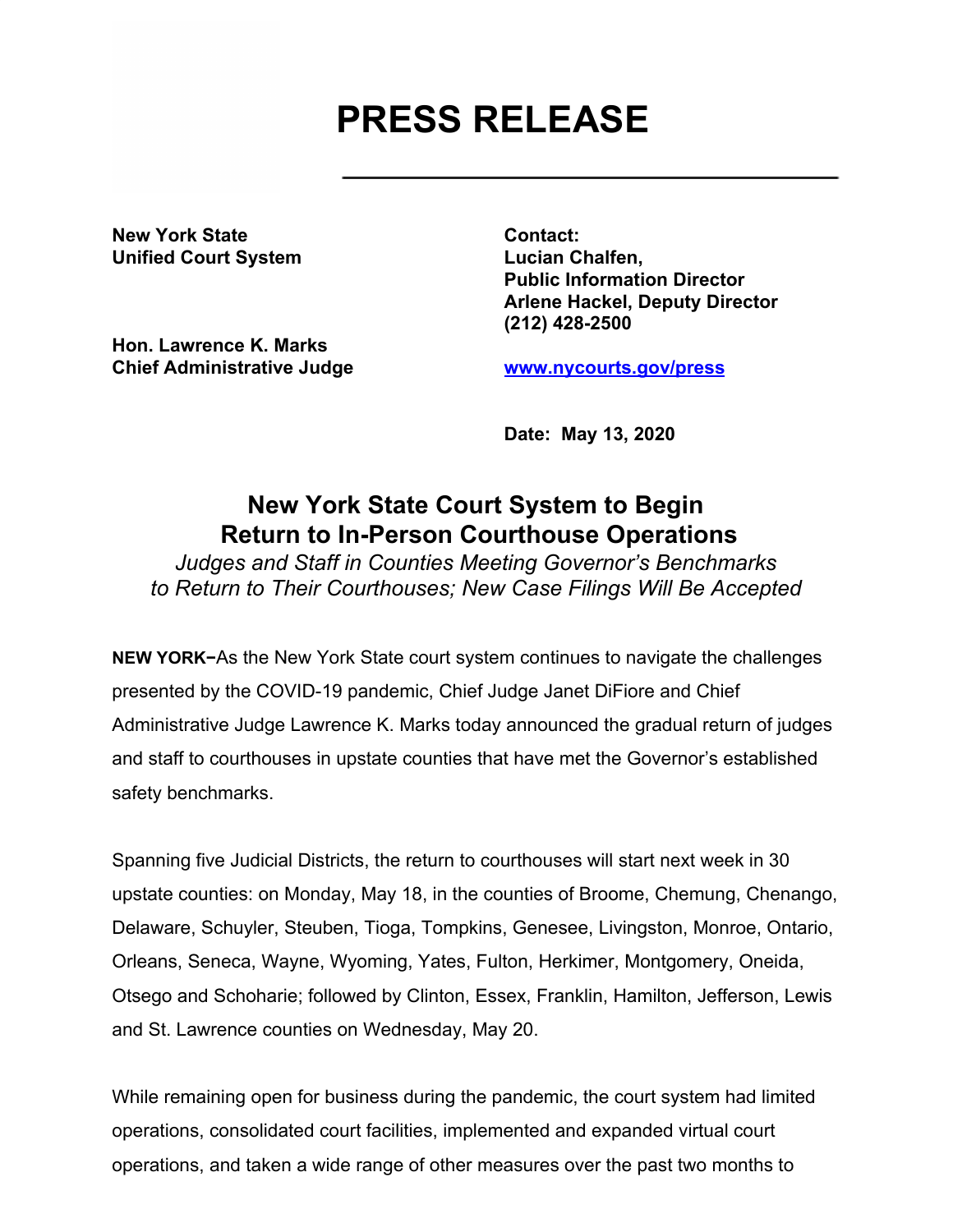## **PRESS RELEASE**

**New York State Contact: Unified Court System Lucian Chalfen,**

**Hon. Lawrence K. Marks Chief Administrative Judge [www.nycourts.gov/press](http://www.nycourts.gov/press)**

**Public Information Director Arlene Hackel, Deputy Director (212) 428-2500**

**Date: May 13, 2020**

## **New York State Court System to Begin Return to In-Person Courthouse Operations**

*Judges and Staff in Counties Meeting Governor's Benchmarks to Return to Their Courthouses; New Case Filings Will Be Accepted*

**NEW YORK−**As the New York State court system continues to navigate the challenges presented by the COVID-19 pandemic, Chief Judge Janet DiFiore and Chief Administrative Judge Lawrence K. Marks today announced the gradual return of judges and staff to courthouses in upstate counties that have met the Governor's established safety benchmarks.

Spanning five Judicial Districts, the return to courthouses will start next week in 30 upstate counties: on Monday, May 18, in the counties of Broome, Chemung, Chenango, Delaware, Schuyler, Steuben, Tioga, Tompkins, Genesee, Livingston, Monroe, Ontario, Orleans, Seneca, Wayne, Wyoming, Yates, Fulton, Herkimer, Montgomery, Oneida, Otsego and Schoharie; followed by Clinton, Essex, Franklin, Hamilton, Jefferson, Lewis and St. Lawrence counties on Wednesday, May 20.

While remaining open for business during the pandemic, the court system had limited operations, consolidated court facilities, implemented and expanded virtual court operations, and taken a wide range of other measures over the past two months to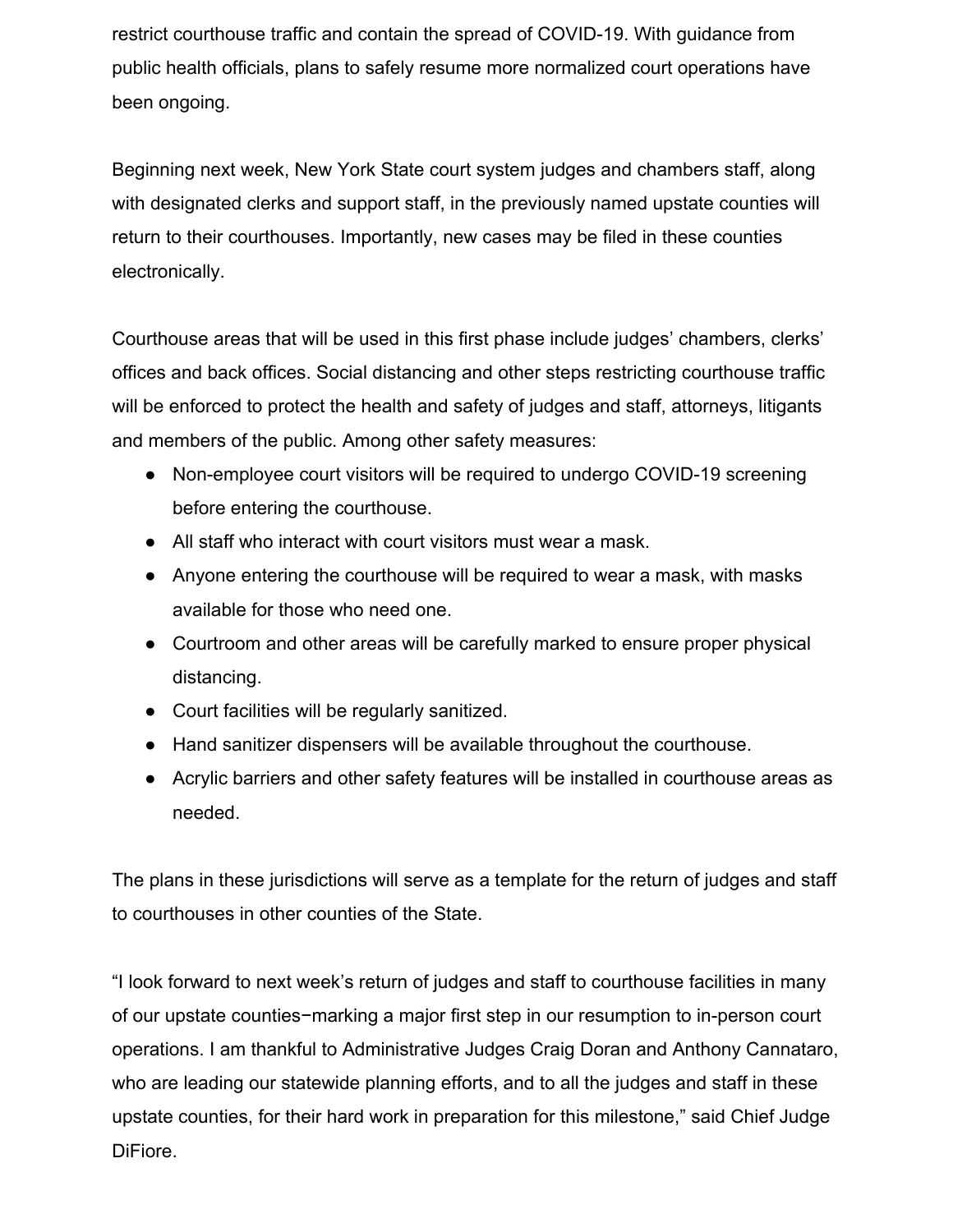restrict courthouse traffic and contain the spread of COVID-19. With guidance from public health officials, plans to safely resume more normalized court operations have been ongoing.

Beginning next week, New York State court system judges and chambers staff, along with designated clerks and support staff, in the previously named upstate counties will return to their courthouses. Importantly, new cases may be filed in these counties electronically.

Courthouse areas that will be used in this first phase include judges' chambers, clerks' offices and back offices. Social distancing and other steps restricting courthouse traffic will be enforced to protect the health and safety of judges and staff, attorneys, litigants and members of the public. Among other safety measures:

- Non-employee court visitors will be required to undergo COVID-19 screening before entering the courthouse.
- All staff who interact with court visitors must wear a mask.
- Anyone entering the courthouse will be required to wear a mask, with masks available for those who need one.
- Courtroom and other areas will be carefully marked to ensure proper physical distancing.
- Court facilities will be regularly sanitized.
- Hand sanitizer dispensers will be available throughout the courthouse.
- Acrylic barriers and other safety features will be installed in courthouse areas as needed.

The plans in these jurisdictions will serve as a template for the return of judges and staff to courthouses in other counties of the State.

"I look forward to next week's return of judges and staff to courthouse facilities in many of our upstate counties−marking a major first step in our resumption to in-person court operations. I am thankful to Administrative Judges Craig Doran and Anthony Cannataro, who are leading our statewide planning efforts, and to all the judges and staff in these upstate counties, for their hard work in preparation for this milestone," said Chief Judge DiFiore.